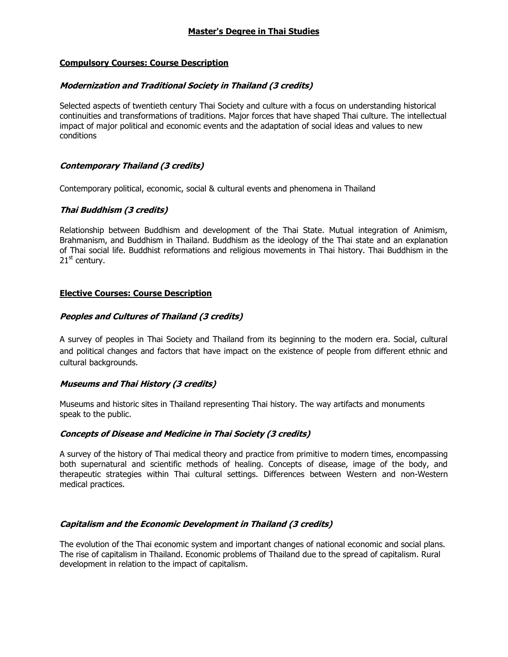### **Compulsory Courses: Course Description**

### **Modernization and Traditional Society in Thailand (3 credits)**

Selected aspects of twentieth century Thai Society and culture with a focus on understanding historical continuities and transformations of traditions. Major forces that have shaped Thai culture. The intellectual impact of major political and economic events and the adaptation of social ideas and values to new conditions

### **Contemporary Thailand (3 credits)**

Contemporary political, economic, social & cultural events and phenomena in Thailand

## **Thai Buddhism (3 credits)**

Relationship between Buddhism and development of the Thai State. Mutual integration of Animism, Brahmanism, and Buddhism in Thailand. Buddhism as the ideology of the Thai state and an explanation of Thai social life. Buddhist reformations and religious movements in Thai history. Thai Buddhism in the  $21<sup>st</sup>$  century.

### **Elective Courses: Course Description**

### **Peoples and Cultures of Thailand (3 credits)**

A survey of peoples in Thai Society and Thailand from its beginning to the modern era. Social, cultural and political changes and factors that have impact on the existence of people from different ethnic and cultural backgrounds.

## **Museums and Thai History (3 credits)**

Museums and historic sites in Thailand representing Thai history. The way artifacts and monuments speak to the public.

#### **Concepts of Disease and Medicine in Thai Society (3 credits)**

A survey of the history of Thai medical theory and practice from primitive to modern times, encompassing both supernatural and scientific methods of healing. Concepts of disease, image of the body, and therapeutic strategies within Thai cultural settings. Differences between Western and non-Western medical practices.

## **Capitalism and the Economic Development in Thailand (3 credits)**

The evolution of the Thai economic system and important changes of national economic and social plans. The rise of capitalism in Thailand. Economic problems of Thailand due to the spread of capitalism. Rural development in relation to the impact of capitalism.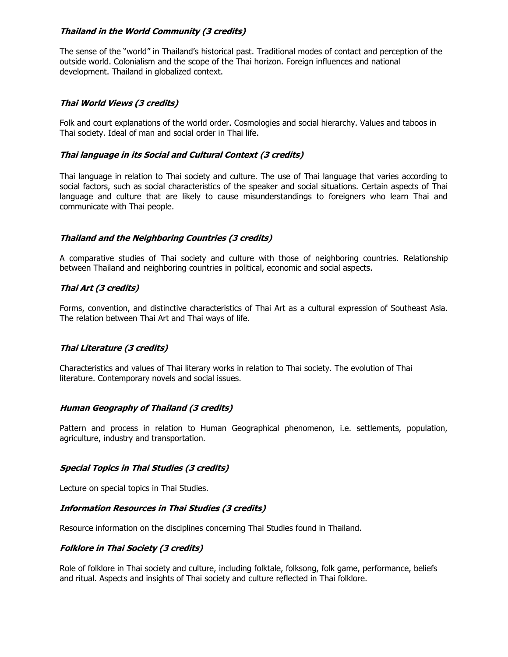## **Thailand in the World Community (3 credits)**

The sense of the "world" in Thailand's historical past. Traditional modes of contact and perception of the outside world. Colonialism and the scope of the Thai horizon. Foreign influences and national development. Thailand in globalized context.

## **Thai World Views (3 credits)**

Folk and court explanations of the world order. Cosmologies and social hierarchy. Values and taboos in Thai society. Ideal of man and social order in Thai life.

### **Thai language in its Social and Cultural Context (3 credits)**

Thai language in relation to Thai society and culture. The use of Thai language that varies according to social factors, such as social characteristics of the speaker and social situations. Certain aspects of Thai language and culture that are likely to cause misunderstandings to foreigners who learn Thai and communicate with Thai people.

### **Thailand and the Neighboring Countries (3 credits)**

A comparative studies of Thai society and culture with those of neighboring countries. Relationship between Thailand and neighboring countries in political, economic and social aspects.

## **Thai Art (3 credits)**

Forms, convention, and distinctive characteristics of Thai Art as a cultural expression of Southeast Asia. The relation between Thai Art and Thai ways of life.

#### **Thai Literature (3 credits)**

Characteristics and values of Thai literary works in relation to Thai society. The evolution of Thai literature. Contemporary novels and social issues.

#### **Human Geography of Thailand (3 credits)**

Pattern and process in relation to Human Geographical phenomenon, i.e. settlements, population, agriculture, industry and transportation.

#### **Special Topics in Thai Studies (3 credits)**

Lecture on special topics in Thai Studies.

#### **Information Resources in Thai Studies (3 credits)**

Resource information on the disciplines concerning Thai Studies found in Thailand.

#### **Folklore in Thai Society (3 credits)**

Role of folklore in Thai society and culture, including folktale, folksong, folk game, performance, beliefs and ritual. Aspects and insights of Thai society and culture reflected in Thai folklore.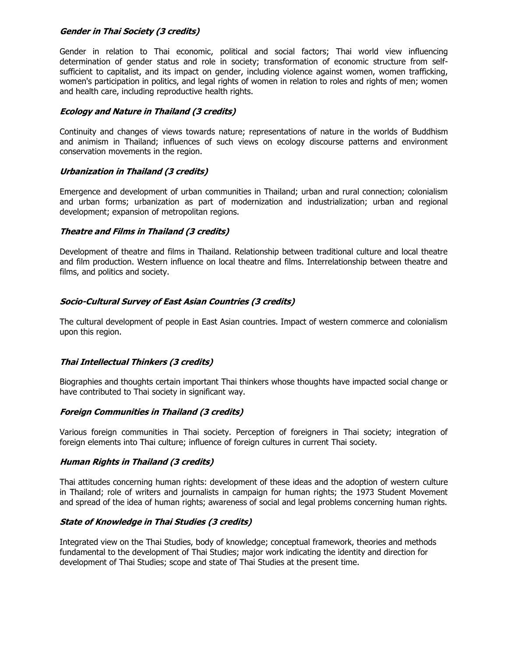### **Gender in Thai Society (3 credits)**

Gender in relation to Thai economic, political and social factors; Thai world view influencing determination of gender status and role in society; transformation of economic structure from selfsufficient to capitalist, and its impact on gender, including violence against women, women trafficking, women's participation in politics, and legal rights of women in relation to roles and rights of men; women and health care, including reproductive health rights.

## **Ecology and Nature in Thailand (3 credits)**

Continuity and changes of views towards nature; representations of nature in the worlds of Buddhism and animism in Thailand; influences of such views on ecology discourse patterns and environment conservation movements in the region.

# **Urbanization in Thailand (3 credits)**

Emergence and development of urban communities in Thailand; urban and rural connection; colonialism and urban forms; urbanization as part of modernization and industrialization; urban and regional development; expansion of metropolitan regions.

# **Theatre and Films in Thailand (3 credits)**

Development of theatre and films in Thailand. Relationship between traditional culture and local theatre and film production. Western influence on local theatre and films. Interrelationship between theatre and films, and politics and society.

# **Socio-Cultural Survey of East Asian Countries (3 credits)**

The cultural development of people in East Asian countries. Impact of western commerce and colonialism upon this region.

## **Thai Intellectual Thinkers (3 credits)**

Biographies and thoughts certain important Thai thinkers whose thoughts have impacted social change or have contributed to Thai society in significant way.

## **Foreign Communities in Thailand (3 credits)**

Various foreign communities in Thai society. Perception of foreigners in Thai society; integration of foreign elements into Thai culture; influence of foreign cultures in current Thai society.

## **Human Rights in Thailand (3 credits)**

Thai attitudes concerning human rights: development of these ideas and the adoption of western culture in Thailand; role of writers and journalists in campaign for human rights; the 1973 Student Movement and spread of the idea of human rights; awareness of social and legal problems concerning human rights.

## **State of Knowledge in Thai Studies (3 credits)**

Integrated view on the Thai Studies, body of knowledge; conceptual framework, theories and methods fundamental to the development of Thai Studies; major work indicating the identity and direction for development of Thai Studies; scope and state of Thai Studies at the present time.